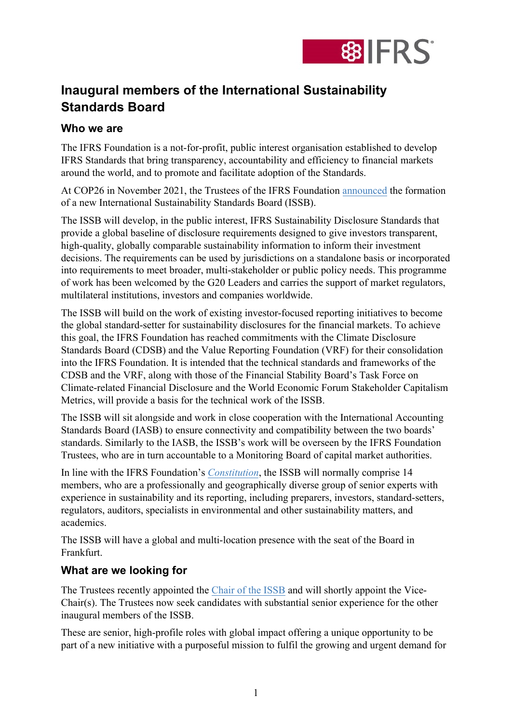

# **Inaugural members of the International Sustainability Standards Board**

#### **Who we are**

The IFRS Foundation is a not-for-profit, public interest organisation established to develop IFRS Standards that bring transparency, accountability and efficiency to financial markets around the world, and to promote and facilitate adoption of the Standards.

At COP26 in November 2021, the Trustees of the IFRS Foundation [announced](https://www.ifrs.org/news-and-events/news/2021/11/ifrs-foundation-announces-issb-consolidation-with-cdsb-vrf-publication-of-prototypes/) the formation of a new International Sustainability Standards Board (ISSB).

The ISSB will develop, in the public interest, IFRS Sustainability Disclosure Standards that provide a global baseline of disclosure requirements designed to give investors transparent, high-quality, globally comparable sustainability information to inform their investment decisions. The requirements can be used by jurisdictions on a standalone basis or incorporated into requirements to meet broader, multi-stakeholder or public policy needs. This programme of work has been welcomed by the G20 Leaders and carries the support of market regulators, multilateral institutions, investors and companies worldwide.

The ISSB will build on the work of existing investor-focused reporting initiatives to become the global standard-setter for sustainability disclosures for the financial markets. To achieve this goal, the IFRS Foundation has reached commitments with the Climate Disclosure Standards Board (CDSB) and the Value Reporting Foundation (VRF) for their consolidation into the IFRS Foundation. It is intended that the technical standards and frameworks of the CDSB and the VRF, along with those of the Financial Stability Board's Task Force on Climate-related Financial Disclosure and the World Economic Forum Stakeholder Capitalism Metrics, will provide a basis for the technical work of the ISSB.

The ISSB will sit alongside and work in close cooperation with the International Accounting Standards Board (IASB) to ensure connectivity and compatibility between the two boards' standards. Similarly to the IASB, the ISSB's work will be overseen by the IFRS Foundation Trustees, who are in turn accountable to a Monitoring Board of capital market authorities.

In line with the IFRS Foundation's *[Constitution](https://www.ifrs.org/content/dam/ifrs/about-us/legal-and-governance/constitution-docs/ifrs-foundation-constitution-2021.pdf)*, the ISSB will normally comprise 14 members, who are a professionally and geographically diverse group of senior experts with experience in sustainability and its reporting, including preparers, investors, standard-setters, regulators, auditors, specialists in environmental and other sustainability matters, and academics.

The ISSB will have a global and multi-location presence with the seat of the Board in Frankfurt.

## **What are we looking for**

The Trustees recently appointed the [Chair of the ISSB](https://www.ifrs.org/news-and-events/news/2021/12/emmanuel-faber-appointed-to-lead-the-issb/) and will shortly appoint the Vice-Chair(s). The Trustees now seek candidates with substantial senior experience for the other inaugural members of the ISSB.

These are senior, high-profile roles with global impact offering a unique opportunity to be part of a new initiative with a purposeful mission to fulfil the growing and urgent demand for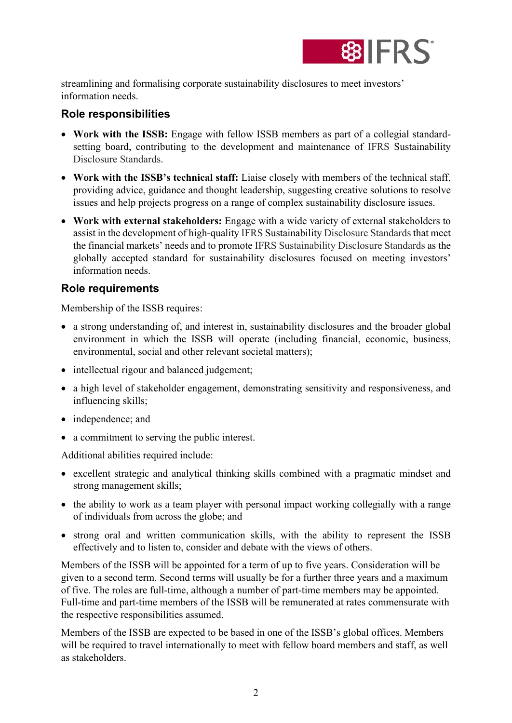

streamlining and formalising corporate sustainability disclosures to meet investors' information needs.

#### **Role responsibilities**

- **Work with the ISSB:** Engage with fellow ISSB members as part of a collegial standardsetting board, contributing to the development and maintenance of IFRS Sustainability Disclosure Standards.
- **Work with the ISSB's technical staff:** Liaise closely with members of the technical staff, providing advice, guidance and thought leadership, suggesting creative solutions to resolve issues and help projects progress on a range of complex sustainability disclosure issues.
- **Work with external stakeholders:** Engage with a wide variety of external stakeholders to assist in the development of high-quality IFRS Sustainability Disclosure Standards that meet the financial markets' needs and to promote IFRS Sustainability Disclosure Standards as the globally accepted standard for sustainability disclosures focused on meeting investors' information needs.

### **Role requirements**

Membership of the ISSB requires:

- a strong understanding of, and interest in, sustainability disclosures and the broader global environment in which the ISSB will operate (including financial, economic, business, environmental, social and other relevant societal matters);
- intellectual rigour and balanced judgement;
- a high level of stakeholder engagement, demonstrating sensitivity and responsiveness, and influencing skills;
- independence; and
- a commitment to serving the public interest.

Additional abilities required include:

- excellent strategic and analytical thinking skills combined with a pragmatic mindset and strong management skills;
- the ability to work as a team player with personal impact working collegially with a range of individuals from across the globe; and
- strong oral and written communication skills, with the ability to represent the ISSB effectively and to listen to, consider and debate with the views of others.

Members of the ISSB will be appointed for a term of up to five years. Consideration will be given to a second term. Second terms will usually be for a further three years and a maximum of five. The roles are full-time, although a number of part-time members may be appointed. Full-time and part-time members of the ISSB will be remunerated at rates commensurate with the respective responsibilities assumed.

Members of the ISSB are expected to be based in one of the ISSB's global offices. Members will be required to travel internationally to meet with fellow board members and staff, as well as stakeholders.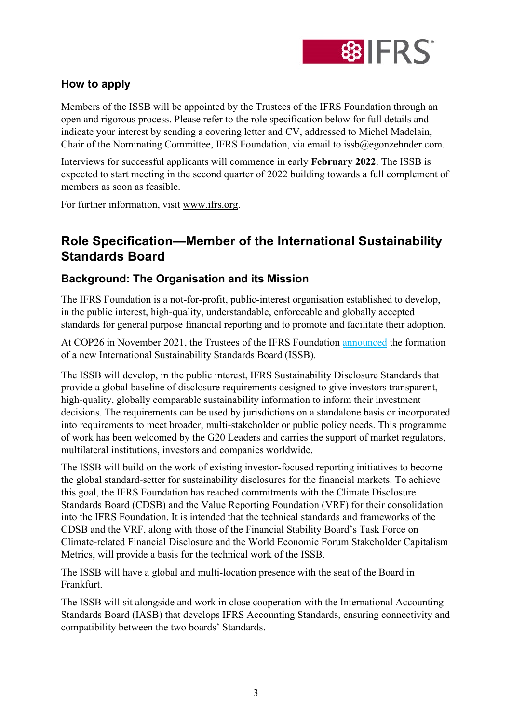

# **How to apply**

Members of the ISSB will be appointed by the Trustees of the IFRS Foundation through an open and rigorous process. Please refer to the role specification below for full details and indicate your interest by sending a covering letter and CV, addressed to Michel Madelain, Chair of the Nominating Committee, IFRS Foundation, via email to issb $@$ egonzehnder.com.

Interviews for successful applicants will commence in early **February 2022**. The ISSB is expected to start meeting in the second quarter of 2022 building towards a full complement of members as soon as feasible.

For further information, visit [www.ifrs.org.](http://www.ifrs.org/)

# **Role Specification—Member of the International Sustainability Standards Board**

# **Background: The Organisation and its Mission**

The IFRS Foundation is a not-for-profit, public-interest organisation established to develop, in the public interest, high-quality, understandable, enforceable and globally accepted standards for general purpose financial reporting and to promote and facilitate their adoption.

At COP26 in November 2021, the Trustees of the IFRS Foundation [announced](https://www.ifrs.org/news-and-events/news/2021/11/ifrs-foundation-announces-issb-consolidation-with-cdsb-vrf-publication-of-prototypes/) the formation of a new International Sustainability Standards Board (ISSB).

The ISSB will develop, in the public interest, IFRS Sustainability Disclosure Standards that provide a global baseline of disclosure requirements designed to give investors transparent, high-quality, globally comparable sustainability information to inform their investment decisions. The requirements can be used by jurisdictions on a standalone basis or incorporated into requirements to meet broader, multi-stakeholder or public policy needs. This programme of work has been welcomed by the G20 Leaders and carries the support of market regulators, multilateral institutions, investors and companies worldwide.

The ISSB will build on the work of existing investor-focused reporting initiatives to become the global standard-setter for sustainability disclosures for the financial markets. To achieve this goal, the IFRS Foundation has reached commitments with the Climate Disclosure Standards Board (CDSB) and the Value Reporting Foundation (VRF) for their consolidation into the IFRS Foundation. It is intended that the technical standards and frameworks of the CDSB and the VRF, along with those of the Financial Stability Board's Task Force on Climate-related Financial Disclosure and the World Economic Forum Stakeholder Capitalism Metrics, will provide a basis for the technical work of the ISSB.

The ISSB will have a global and multi-location presence with the seat of the Board in Frankfurt.

The ISSB will sit alongside and work in close cooperation with the International Accounting Standards Board (IASB) that develops IFRS Accounting Standards, ensuring connectivity and compatibility between the two boards' Standards.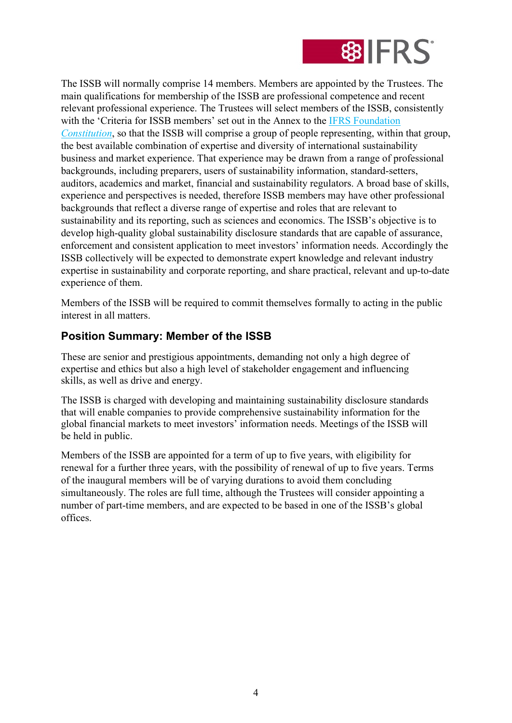

The ISSB will normally comprise 14 members. Members are appointed by the Trustees. The main qualifications for membership of the ISSB are professional competence and recent relevant professional experience. The Trustees will select members of the ISSB, consistently with the 'Criteria for ISSB members' set out in the Annex to the IFRS Foundation *[Constitution](https://www.ifrs.org/content/dam/ifrs/about-us/legal-and-governance/constitution-docs/ifrs-foundation-constitution-2021.pdf)*, so that the ISSB will comprise a group of people representing, within that group, the best available combination of expertise and diversity of international sustainability business and market experience. That experience may be drawn from a range of professional backgrounds, including preparers, users of sustainability information, standard-setters, auditors, academics and market, financial and sustainability regulators. A broad base of skills, experience and perspectives is needed, therefore ISSB members may have other professional backgrounds that reflect a diverse range of expertise and roles that are relevant to sustainability and its reporting, such as sciences and economics. The ISSB's objective is to develop high-quality global sustainability disclosure standards that are capable of assurance, enforcement and consistent application to meet investors' information needs. Accordingly the ISSB collectively will be expected to demonstrate expert knowledge and relevant industry expertise in sustainability and corporate reporting, and share practical, relevant and up-to-date experience of them.

Members of the ISSB will be required to commit themselves formally to acting in the public interest in all matters.

## **Position Summary: Member of the ISSB**

These are senior and prestigious appointments, demanding not only a high degree of expertise and ethics but also a high level of stakeholder engagement and influencing skills, as well as drive and energy.

The ISSB is charged with developing and maintaining sustainability disclosure standards that will enable companies to provide comprehensive sustainability information for the global financial markets to meet investors' information needs. Meetings of the ISSB will be held in public.

Members of the ISSB are appointed for a term of up to five years, with eligibility for renewal for a further three years, with the possibility of renewal of up to five years. Terms of the inaugural members will be of varying durations to avoid them concluding simultaneously. The roles are full time, although the Trustees will consider appointing a number of part-time members, and are expected to be based in one of the ISSB's global offices.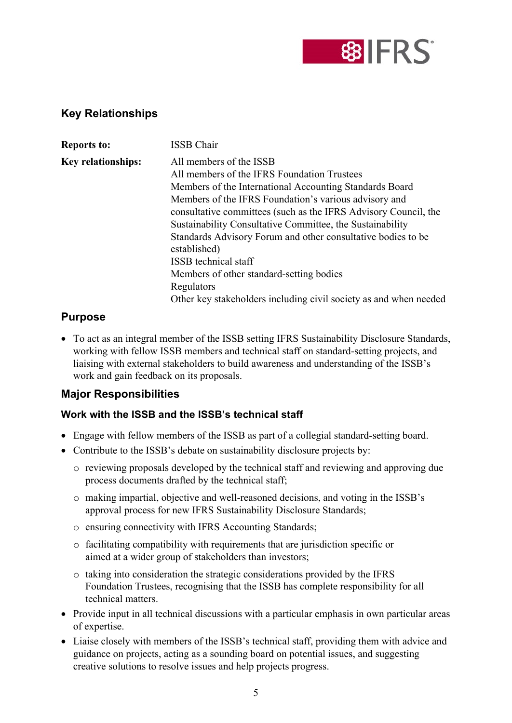

## **Key Relationships**

| <b>Reports to:</b>        | <b>ISSB</b> Chair                                                                                                                                                                                                                                                                                                                                                                                                                                                                                                                                                        |
|---------------------------|--------------------------------------------------------------------------------------------------------------------------------------------------------------------------------------------------------------------------------------------------------------------------------------------------------------------------------------------------------------------------------------------------------------------------------------------------------------------------------------------------------------------------------------------------------------------------|
| <b>Key relationships:</b> | All members of the ISSB<br>All members of the IFRS Foundation Trustees<br>Members of the International Accounting Standards Board<br>Members of the IFRS Foundation's various advisory and<br>consultative committees (such as the IFRS Advisory Council, the<br>Sustainability Consultative Committee, the Sustainability<br>Standards Advisory Forum and other consultative bodies to be<br>established)<br><b>ISSB</b> technical staff<br>Members of other standard-setting bodies<br>Regulators<br>Other key stakeholders including civil society as and when needed |

#### **Purpose**

• To act as an integral member of the ISSB setting IFRS Sustainability Disclosure Standards, working with fellow ISSB members and technical staff on standard-setting projects, and liaising with external stakeholders to build awareness and understanding of the ISSB's work and gain feedback on its proposals.

#### **Major Responsibilities**

#### **Work with the ISSB and the ISSB's technical staff**

- Engage with fellow members of the ISSB as part of a collegial standard-setting board.
- Contribute to the ISSB's debate on sustainability disclosure projects by:
	- o reviewing proposals developed by the technical staff and reviewing and approving due process documents drafted by the technical staff;
	- o making impartial, objective and well-reasoned decisions, and voting in the ISSB's approval process for new IFRS Sustainability Disclosure Standards;
	- o ensuring connectivity with IFRS Accounting Standards;
	- o facilitating compatibility with requirements that are jurisdiction specific or aimed at a wider group of stakeholders than investors;
	- o taking into consideration the strategic considerations provided by the IFRS Foundation Trustees, recognising that the ISSB has complete responsibility for all technical matters.
- Provide input in all technical discussions with a particular emphasis in own particular areas of expertise.
- Liaise closely with members of the ISSB's technical staff, providing them with advice and guidance on projects, acting as a sounding board on potential issues, and suggesting creative solutions to resolve issues and help projects progress.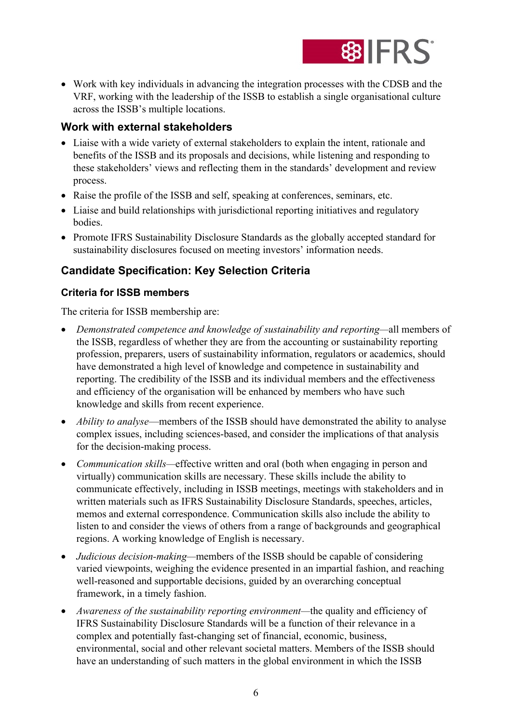

• Work with key individuals in advancing the integration processes with the CDSB and the VRF, working with the leadership of the ISSB to establish a single organisational culture across the ISSB's multiple locations.

### **Work with external stakeholders**

- Liaise with a wide variety of external stakeholders to explain the intent, rationale and benefits of the ISSB and its proposals and decisions, while listening and responding to these stakeholders' views and reflecting them in the standards' development and review process.
- Raise the profile of the ISSB and self, speaking at conferences, seminars, etc.
- Liaise and build relationships with jurisdictional reporting initiatives and regulatory bodies.
- Promote IFRS Sustainability Disclosure Standards as the globally accepted standard for sustainability disclosures focused on meeting investors' information needs.

# **Candidate Specification: Key Selection Criteria**

#### **Criteria for ISSB members**

The criteria for ISSB membership are:

- *Demonstrated competence and knowledge of sustainability and reporting—*all members of the ISSB, regardless of whether they are from the accounting or sustainability reporting profession, preparers, users of sustainability information, regulators or academics, should have demonstrated a high level of knowledge and competence in sustainability and reporting. The credibility of the ISSB and its individual members and the effectiveness and efficiency of the organisation will be enhanced by members who have such knowledge and skills from recent experience.
- *Ability to analyse*—members of the ISSB should have demonstrated the ability to analyse complex issues, including sciences-based, and consider the implications of that analysis for the decision-making process.
- *Communication skills—*effective written and oral (both when engaging in person and virtually) communication skills are necessary. These skills include the ability to communicate effectively, including in ISSB meetings, meetings with stakeholders and in written materials such as IFRS Sustainability Disclosure Standards, speeches, articles, memos and external correspondence. Communication skills also include the ability to listen to and consider the views of others from a range of backgrounds and geographical regions. A working knowledge of English is necessary.
- *Judicious decision-making—*members of the ISSB should be capable of considering varied viewpoints, weighing the evidence presented in an impartial fashion, and reaching well-reasoned and supportable decisions, guided by an overarching conceptual framework, in a timely fashion.
- *Awareness of the sustainability reporting environment—*the quality and efficiency of IFRS Sustainability Disclosure Standards will be a function of their relevance in a complex and potentially fast-changing set of financial, economic, business, environmental, social and other relevant societal matters. Members of the ISSB should have an understanding of such matters in the global environment in which the ISSB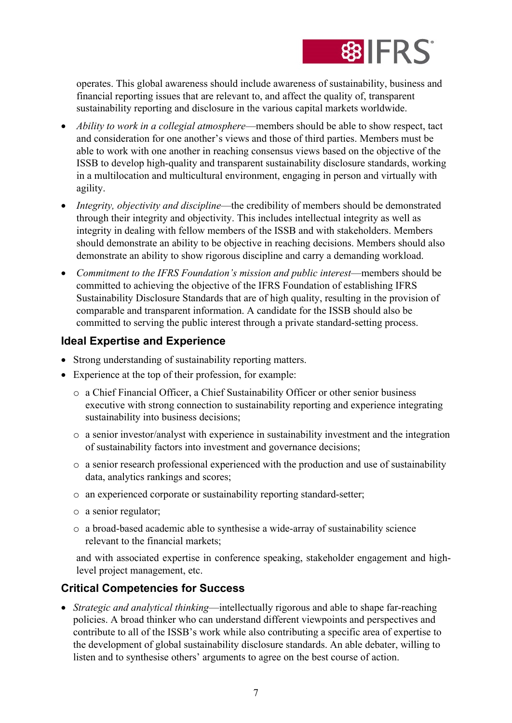

operates. This global awareness should include awareness of sustainability, business and financial reporting issues that are relevant to, and affect the quality of, transparent sustainability reporting and disclosure in the various capital markets worldwide.

- *Ability to work in a collegial atmosphere*—members should be able to show respect, tact and consideration for one another's views and those of third parties. Members must be able to work with one another in reaching consensus views based on the objective of the ISSB to develop high-quality and transparent sustainability disclosure standards, working in a multilocation and multicultural environment, engaging in person and virtually with agility.
- *Integrity, objectivity and discipline*—the credibility of members should be demonstrated through their integrity and objectivity. This includes intellectual integrity as well as integrity in dealing with fellow members of the ISSB and with stakeholders. Members should demonstrate an ability to be objective in reaching decisions. Members should also demonstrate an ability to show rigorous discipline and carry a demanding workload.
- *Commitment to the IFRS Foundation's mission and public interest*—members should be committed to achieving the objective of the IFRS Foundation of establishing IFRS Sustainability Disclosure Standards that are of high quality, resulting in the provision of comparable and transparent information. A candidate for the ISSB should also be committed to serving the public interest through a private standard-setting process.

#### **Ideal Expertise and Experience**

- Strong understanding of sustainability reporting matters.
- Experience at the top of their profession, for example:
	- o a Chief Financial Officer, a Chief Sustainability Officer or other senior business executive with strong connection to sustainability reporting and experience integrating sustainability into business decisions;
	- o a senior investor/analyst with experience in sustainability investment and the integration of sustainability factors into investment and governance decisions;
	- o a senior research professional experienced with the production and use of sustainability data, analytics rankings and scores;
	- o an experienced corporate or sustainability reporting standard-setter;
	- o a senior regulator;
	- o a broad-based academic able to synthesise a wide-array of sustainability science relevant to the financial markets;

and with associated expertise in conference speaking, stakeholder engagement and highlevel project management, etc.

#### **Critical Competencies for Success**

• *Strategic and analytical thinking*—intellectually rigorous and able to shape far-reaching policies. A broad thinker who can understand different viewpoints and perspectives and contribute to all of the ISSB's work while also contributing a specific area of expertise to the development of global sustainability disclosure standards. An able debater, willing to listen and to synthesise others' arguments to agree on the best course of action.